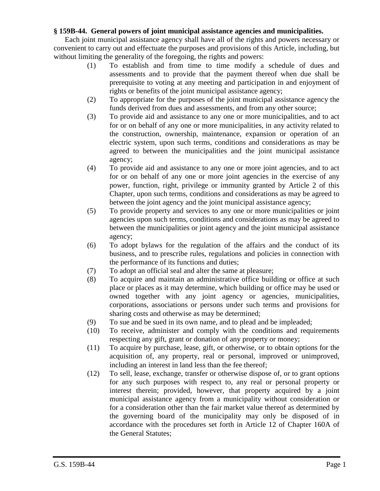## **§ 159B-44. General powers of joint municipal assistance agencies and municipalities.**

Each joint municipal assistance agency shall have all of the rights and powers necessary or convenient to carry out and effectuate the purposes and provisions of this Article, including, but without limiting the generality of the foregoing, the rights and powers:

- (1) To establish and from time to time modify a schedule of dues and assessments and to provide that the payment thereof when due shall be prerequisite to voting at any meeting and participation in and enjoyment of rights or benefits of the joint municipal assistance agency;
- (2) To appropriate for the purposes of the joint municipal assistance agency the funds derived from dues and assessments, and from any other source;
- (3) To provide aid and assistance to any one or more municipalities, and to act for or on behalf of any one or more municipalities, in any activity related to the construction, ownership, maintenance, expansion or operation of an electric system, upon such terms, conditions and considerations as may be agreed to between the municipalities and the joint municipal assistance agency;
- (4) To provide aid and assistance to any one or more joint agencies, and to act for or on behalf of any one or more joint agencies in the exercise of any power, function, right, privilege or immunity granted by Article 2 of this Chapter, upon such terms, conditions and considerations as may be agreed to between the joint agency and the joint municipal assistance agency;
- (5) To provide property and services to any one or more municipalities or joint agencies upon such terms, conditions and considerations as may be agreed to between the municipalities or joint agency and the joint municipal assistance agency;
- (6) To adopt bylaws for the regulation of the affairs and the conduct of its business, and to prescribe rules, regulations and policies in connection with the performance of its functions and duties;
- (7) To adopt an official seal and alter the same at pleasure;
- (8) To acquire and maintain an administrative office building or office at such place or places as it may determine, which building or office may be used or owned together with any joint agency or agencies, municipalities, corporations, associations or persons under such terms and provisions for sharing costs and otherwise as may be determined;
- (9) To sue and be sued in its own name, and to plead and be impleaded;
- (10) To receive, administer and comply with the conditions and requirements respecting any gift, grant or donation of any property or money;
- (11) To acquire by purchase, lease, gift, or otherwise, or to obtain options for the acquisition of, any property, real or personal, improved or unimproved, including an interest in land less than the fee thereof;
- (12) To sell, lease, exchange, transfer or otherwise dispose of, or to grant options for any such purposes with respect to, any real or personal property or interest therein; provided, however, that property acquired by a joint municipal assistance agency from a municipality without consideration or for a consideration other than the fair market value thereof as determined by the governing board of the municipality may only be disposed of in accordance with the procedures set forth in Article 12 of Chapter 160A of the General Statutes;